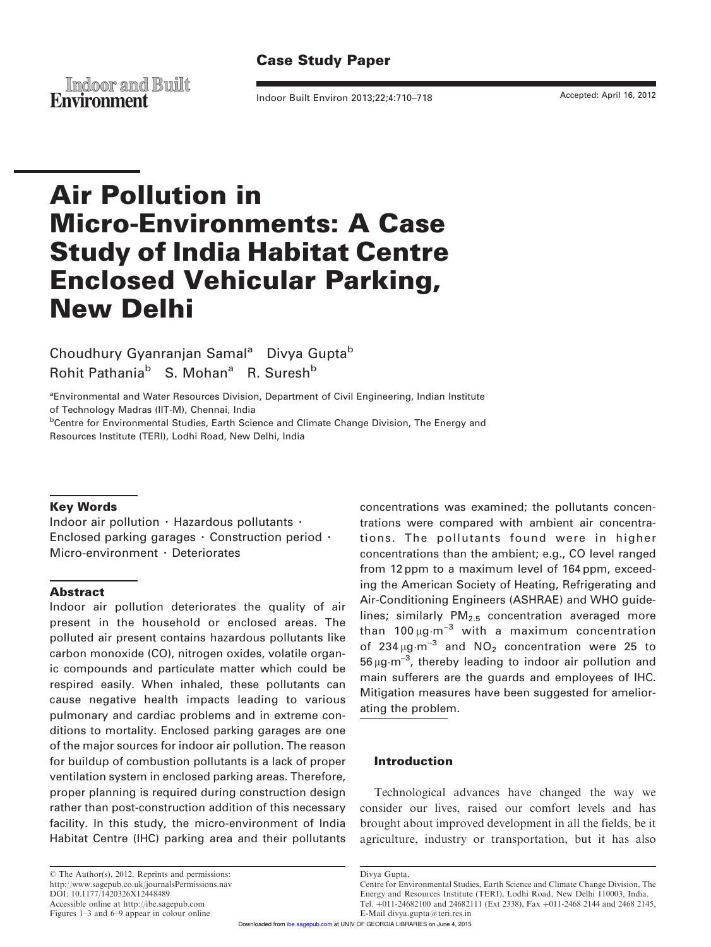# Case Study Paper

**Indoor and Built Environment** Indoor Built Environ 2013;22;4:710–718 Accepted: April 16, 2012

# Air Pollution in Micro-Environments: A Case Study of India Habitat Centre Enclosed Vehicular Parking, New Delhi

Choudhury Gyanranjan Samal<sup>a</sup> Divya Gupta<sup>b</sup> Rohit Pathania<sup>b</sup> S. Mohan<sup>a</sup> R. Suresh<sup>b</sup>

<sup>a</sup>Environmental and Water Resources Division, Department of Civil Engineering, Indian Institute of Technology Madras (IIT-M), Chennai, India

<sup>b</sup>Centre for Environmental Studies, Earth Science and Climate Change Division, The Energy and Resources Institute (TERI), Lodhi Road, New Delhi, India

#### Key Words

Indoor air pollution  $\cdot$  Hazardous pollutants  $\cdot$ Enclosed parking garages  $\cdot$  Construction period  $\cdot$ Micro-environment  $\cdot$  Deteriorates

#### Abstract

Indoor air pollution deteriorates the quality of air present in the household or enclosed areas. The polluted air present contains hazardous pollutants like carbon monoxide (CO), nitrogen oxides, volatile organic compounds and particulate matter which could be respired easily. When inhaled, these pollutants can cause negative health impacts leading to various pulmonary and cardiac problems and in extreme conditions to mortality. Enclosed parking garages are one of the major sources for indoor air pollution. The reason for buildup of combustion pollutants is a lack of proper ventilation system in enclosed parking areas. Therefore, proper planning is required during construction design rather than post-construction addition of this necessary facility. In this study, the micro-environment of India Habitat Centre (IHC) parking area and their pollutants concentrations was examined; the pollutants concentrations were compared with ambient air concentrations. The pollutants found were in higher concentrations than the ambient; e.g., CO level ranged from 12 ppm to a maximum level of 164 ppm, exceeding the American Society of Heating, Refrigerating and Air-Conditioning Engineers (ASHRAE) and WHO guidelines; similarly  $PM<sub>2.5</sub>$  concentration averaged more than 100  $\mu$ g $\cdot$ m $^{-3}$  with a maximum concentration of  $234 \mu g \cdot m^{-3}$  and  $NO<sub>2</sub>$  concentration were 25 to  $56 \mu g \cdot m^{-3}$ , thereby leading to indoor air pollution and main sufferers are the guards and employees of IHC. Mitigation measures have been suggested for ameliorating the problem.

#### Introduction

Technological advances have changed the way we consider our lives, raised our comfort levels and has brought about improved development in all the fields, be it agriculture, industry or transportation, but it has also

Divya Gupta,

Centre for Environmental Studies, Earth Science and Climate Change Division, The Energy and Resources Institute (TERI), Lodhi Road, New Delhi 110003, India. Tel. +011-24682100 and 24682111 (Ext 2338), Fax +011-2468 2144 and 2468 2145, E-Mail divya.gupta@teri.res.in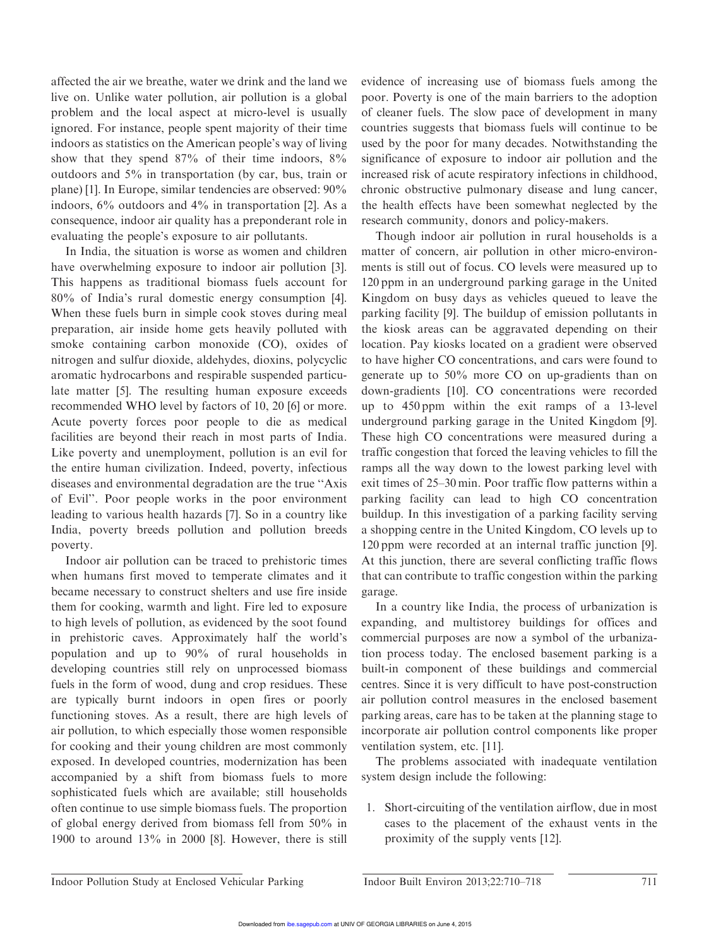affected the air we breathe, water we drink and the land we live on. Unlike water pollution, air pollution is a global problem and the local aspect at micro-level is usually ignored. For instance, people spent majority of their time indoors as statistics on the American people's way of living show that they spend 87% of their time indoors, 8% outdoors and 5% in transportation (by car, bus, train or plane) [1]. In Europe, similar tendencies are observed: 90% indoors, 6% outdoors and 4% in transportation [2]. As a consequence, indoor air quality has a preponderant role in evaluating the people's exposure to air pollutants.

In India, the situation is worse as women and children have overwhelming exposure to indoor air pollution [3]. This happens as traditional biomass fuels account for 80% of India's rural domestic energy consumption [4]. When these fuels burn in simple cook stoves during meal preparation, air inside home gets heavily polluted with smoke containing carbon monoxide (CO), oxides of nitrogen and sulfur dioxide, aldehydes, dioxins, polycyclic aromatic hydrocarbons and respirable suspended particulate matter [5]. The resulting human exposure exceeds recommended WHO level by factors of 10, 20 [6] or more. Acute poverty forces poor people to die as medical facilities are beyond their reach in most parts of India. Like poverty and unemployment, pollution is an evil for the entire human civilization. Indeed, poverty, infectious diseases and environmental degradation are the true ''Axis of Evil''. Poor people works in the poor environment leading to various health hazards [7]. So in a country like India, poverty breeds pollution and pollution breeds poverty.

Indoor air pollution can be traced to prehistoric times when humans first moved to temperate climates and it became necessary to construct shelters and use fire inside them for cooking, warmth and light. Fire led to exposure to high levels of pollution, as evidenced by the soot found in prehistoric caves. Approximately half the world's population and up to 90% of rural households in developing countries still rely on unprocessed biomass fuels in the form of wood, dung and crop residues. These are typically burnt indoors in open fires or poorly functioning stoves. As a result, there are high levels of air pollution, to which especially those women responsible for cooking and their young children are most commonly exposed. In developed countries, modernization has been accompanied by a shift from biomass fuels to more sophisticated fuels which are available; still households often continue to use simple biomass fuels. The proportion of global energy derived from biomass fell from 50% in 1900 to around 13% in 2000 [8]. However, there is still evidence of increasing use of biomass fuels among the poor. Poverty is one of the main barriers to the adoption of cleaner fuels. The slow pace of development in many countries suggests that biomass fuels will continue to be used by the poor for many decades. Notwithstanding the significance of exposure to indoor air pollution and the increased risk of acute respiratory infections in childhood, chronic obstructive pulmonary disease and lung cancer, the health effects have been somewhat neglected by the research community, donors and policy-makers.

Though indoor air pollution in rural households is a matter of concern, air pollution in other micro-environments is still out of focus. CO levels were measured up to 120 ppm in an underground parking garage in the United Kingdom on busy days as vehicles queued to leave the parking facility [9]. The buildup of emission pollutants in the kiosk areas can be aggravated depending on their location. Pay kiosks located on a gradient were observed to have higher CO concentrations, and cars were found to generate up to 50% more CO on up-gradients than on down-gradients [10]. CO concentrations were recorded up to 450 ppm within the exit ramps of a 13-level underground parking garage in the United Kingdom [9]. These high CO concentrations were measured during a traffic congestion that forced the leaving vehicles to fill the ramps all the way down to the lowest parking level with exit times of 25–30 min. Poor traffic flow patterns within a parking facility can lead to high CO concentration buildup. In this investigation of a parking facility serving a shopping centre in the United Kingdom, CO levels up to 120 ppm were recorded at an internal traffic junction [9]. At this junction, there are several conflicting traffic flows that can contribute to traffic congestion within the parking garage.

In a country like India, the process of urbanization is expanding, and multistorey buildings for offices and commercial purposes are now a symbol of the urbanization process today. The enclosed basement parking is a built-in component of these buildings and commercial centres. Since it is very difficult to have post-construction air pollution control measures in the enclosed basement parking areas, care has to be taken at the planning stage to incorporate air pollution control components like proper ventilation system, etc. [11].

The problems associated with inadequate ventilation system design include the following:

1. Short-circuiting of the ventilation airflow, due in most cases to the placement of the exhaust vents in the proximity of the supply vents [12].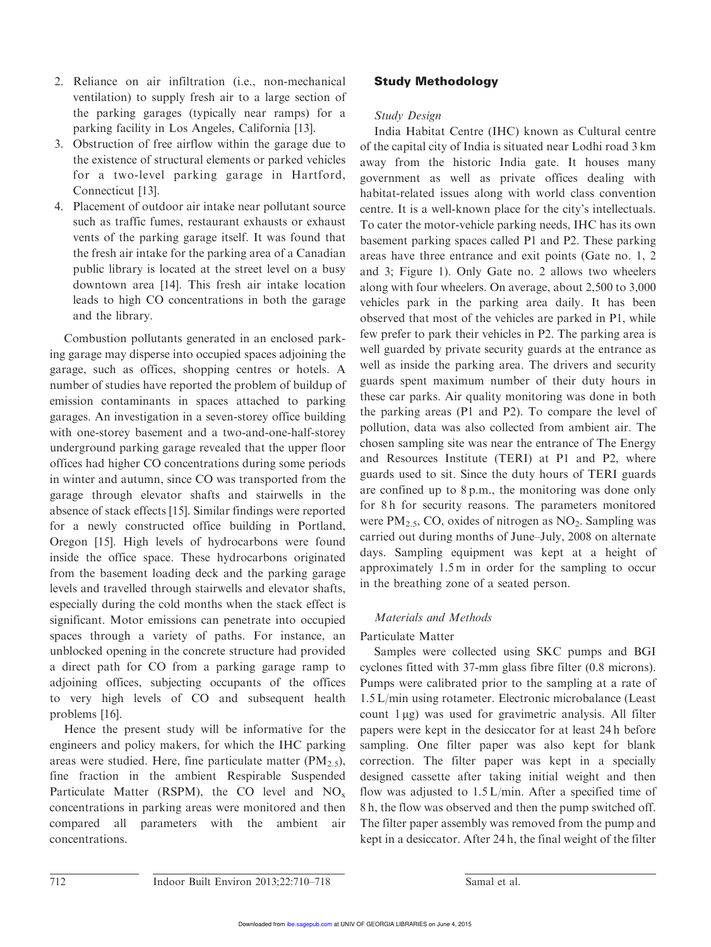- 2. Reliance on air infiltration (i.e., non-mechanical ventilation) to supply fresh air to a large section of the parking garages (typically near ramps) for a parking facility in Los Angeles, California [13].
- 3. Obstruction of free airflow within the garage due to the existence of structural elements or parked vehicles for a two-level parking garage in Hartford, Connecticut [13].
- 4. Placement of outdoor air intake near pollutant source such as traffic fumes, restaurant exhausts or exhaust vents of the parking garage itself. It was found that the fresh air intake for the parking area of a Canadian public library is located at the street level on a busy downtown area [14]. This fresh air intake location leads to high CO concentrations in both the garage and the library.

Combustion pollutants generated in an enclosed parking garage may disperse into occupied spaces adjoining the garage, such as offices, shopping centres or hotels. A number of studies have reported the problem of buildup of emission contaminants in spaces attached to parking garages. An investigation in a seven-storey office building with one-storey basement and a two-and-one-half-storey underground parking garage revealed that the upper floor offices had higher CO concentrations during some periods in winter and autumn, since CO was transported from the garage through elevator shafts and stairwells in the absence of stack effects [15]. Similar findings were reported for a newly constructed office building in Portland, Oregon [15]. High levels of hydrocarbons were found inside the office space. These hydrocarbons originated from the basement loading deck and the parking garage levels and travelled through stairwells and elevator shafts, especially during the cold months when the stack effect is significant. Motor emissions can penetrate into occupied spaces through a variety of paths. For instance, an unblocked opening in the concrete structure had provided a direct path for CO from a parking garage ramp to adjoining offices, subjecting occupants of the offices to very high levels of CO and subsequent health problems [16].

Hence the present study will be informative for the engineers and policy makers, for which the IHC parking areas were studied. Here, fine particulate matter  $(PM_{2.5})$ , fine fraction in the ambient Respirable Suspended Particulate Matter (RSPM), the CO level and  $NO<sub>x</sub>$ concentrations in parking areas were monitored and then compared all parameters with the ambient air concentrations.

## Study Methodology

### Study Design

India Habitat Centre (IHC) known as Cultural centre of the capital city of India is situated near Lodhi road 3 km away from the historic India gate. It houses many government as well as private offices dealing with habitat-related issues along with world class convention centre. It is a well-known place for the city's intellectuals. To cater the motor-vehicle parking needs, IHC has its own basement parking spaces called P1 and P2. These parking areas have three entrance and exit points (Gate no. 1, 2 and 3; Figure 1). Only Gate no. 2 allows two wheelers along with four wheelers. On average, about 2,500 to 3,000 vehicles park in the parking area daily. It has been observed that most of the vehicles are parked in P1, while few prefer to park their vehicles in P2. The parking area is well guarded by private security guards at the entrance as well as inside the parking area. The drivers and security guards spent maximum number of their duty hours in these car parks. Air quality monitoring was done in both the parking areas (P1 and P2). To compare the level of pollution, data was also collected from ambient air. The chosen sampling site was near the entrance of The Energy and Resources Institute (TERI) at P1 and P2, where guards used to sit. Since the duty hours of TERI guards are confined up to 8 p.m., the monitoring was done only for 8h for security reasons. The parameters monitored were  $PM_{2.5}$ , CO, oxides of nitrogen as  $NO_2$ . Sampling was carried out during months of June–July, 2008 on alternate days. Sampling equipment was kept at a height of approximately 1.5 m in order for the sampling to occur in the breathing zone of a seated person.

## Materials and Methods

### Particulate Matter

Samples were collected using SKC pumps and BGI cyclones fitted with 37-mm glass fibre filter (0.8 microns). Pumps were calibrated prior to the sampling at a rate of 1.5 L/min using rotameter. Electronic microbalance (Least count  $1 \mu$ g) was used for gravimetric analysis. All filter papers were kept in the desiccator for at least 24 h before sampling. One filter paper was also kept for blank correction. The filter paper was kept in a specially designed cassette after taking initial weight and then flow was adjusted to 1.5 L/min. After a specified time of 8 h, the flow was observed and then the pump switched off. The filter paper assembly was removed from the pump and kept in a desiccator. After 24 h, the final weight of the filter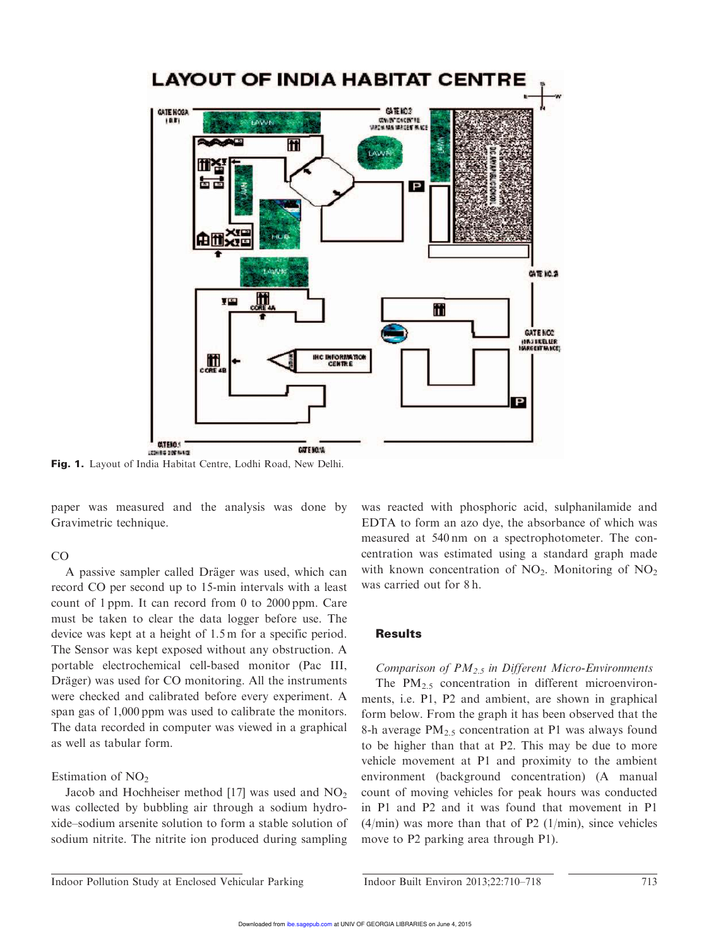

Fig. 1. Layout of India Habitat Centre, Lodhi Road, New Delhi.

paper was measured and the analysis was done by Gravimetric technique.

#### CO

A passive sampler called Dräger was used, which can record CO per second up to 15-min intervals with a least count of 1 ppm. It can record from 0 to 2000 ppm. Care must be taken to clear the data logger before use. The device was kept at a height of 1.5 m for a specific period. The Sensor was kept exposed without any obstruction. A portable electrochemical cell-based monitor (Pac III, Dräger) was used for CO monitoring. All the instruments were checked and calibrated before every experiment. A span gas of 1,000 ppm was used to calibrate the monitors. The data recorded in computer was viewed in a graphical as well as tabular form.

Estimation of  $NO<sub>2</sub>$ 

Jacob and Hochheiser method [17] was used and  $NO<sub>2</sub>$ was collected by bubbling air through a sodium hydroxide–sodium arsenite solution to form a stable solution of sodium nitrite. The nitrite ion produced during sampling was reacted with phosphoric acid, sulphanilamide and EDTA to form an azo dye, the absorbance of which was measured at 540 nm on a spectrophotometer. The concentration was estimated using a standard graph made with known concentration of  $NO<sub>2</sub>$ . Monitoring of  $NO<sub>2</sub>$ was carried out for 8 h.

### **Results**

Comparison of  $PM_{2.5}$  in Different Micro-Environments

The  $PM_{2.5}$  concentration in different microenvironments, i.e. P1, P2 and ambient, are shown in graphical form below. From the graph it has been observed that the 8-h average PM<sub>2.5</sub> concentration at P1 was always found to be higher than that at P2. This may be due to more vehicle movement at P1 and proximity to the ambient environment (background concentration) (A manual count of moving vehicles for peak hours was conducted in P1 and P2 and it was found that movement in P1  $(4/\text{min})$  was more than that of P2  $(1/\text{min})$ , since vehicles move to P2 parking area through P1).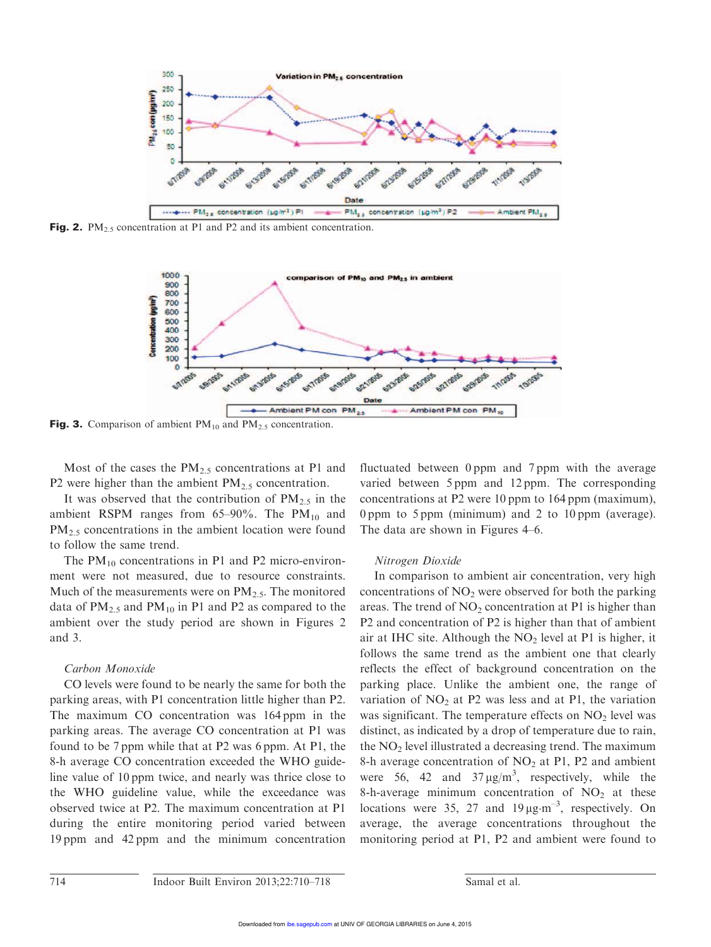

Fig. 2.  $PM_{2.5}$  concentration at P1 and P2 and its ambient concentration.



**Fig. 3.** Comparison of ambient  $PM_{10}$  and  $PM_{2.5}$  concentration.

Most of the cases the  $PM_{2.5}$  concentrations at P1 and P2 were higher than the ambient  $PM_{2.5}$  concentration.

It was observed that the contribution of  $PM_{2.5}$  in the ambient RSPM ranges from  $65-90\%$ . The PM<sub>10</sub> and PM<sub>2.5</sub> concentrations in the ambient location were found to follow the same trend.

The  $PM_{10}$  concentrations in P1 and P2 micro-environment were not measured, due to resource constraints. Much of the measurements were on  $PM_{2.5}$ . The monitored data of  $PM_{2.5}$  and  $PM_{10}$  in P1 and P2 as compared to the ambient over the study period are shown in Figures 2 and 3.

#### Carbon Monoxide

CO levels were found to be nearly the same for both the parking areas, with P1 concentration little higher than P2. The maximum CO concentration was 164 ppm in the parking areas. The average CO concentration at P1 was found to be 7 ppm while that at P2 was 6 ppm. At P1, the 8-h average CO concentration exceeded the WHO guideline value of 10 ppm twice, and nearly was thrice close to the WHO guideline value, while the exceedance was observed twice at P2. The maximum concentration at P1 during the entire monitoring period varied between 19 ppm and 42 ppm and the minimum concentration fluctuated between 0 ppm and 7 ppm with the average varied between 5 ppm and 12 ppm. The corresponding concentrations at P2 were 10 ppm to 164 ppm (maximum), 0 ppm to 5 ppm (minimum) and 2 to 10 ppm (average). The data are shown in Figures 4–6.

#### Nitrogen Dioxide

In comparison to ambient air concentration, very high concentrations of  $NO<sub>2</sub>$  were observed for both the parking areas. The trend of  $NO<sub>2</sub>$  concentration at P1 is higher than P2 and concentration of P2 is higher than that of ambient air at IHC site. Although the  $NO<sub>2</sub>$  level at P1 is higher, it follows the same trend as the ambient one that clearly reflects the effect of background concentration on the parking place. Unlike the ambient one, the range of variation of  $NO<sub>2</sub>$  at P2 was less and at P1, the variation was significant. The temperature effects on  $NO<sub>2</sub>$  level was distinct, as indicated by a drop of temperature due to rain, the  $NO<sub>2</sub>$  level illustrated a decreasing trend. The maximum 8-h average concentration of  $NO<sub>2</sub>$  at P1, P2 and ambient were 56, 42 and  $37 \mu g/m^3$ , respectively, while the 8-h-average minimum concentration of  $NO<sub>2</sub>$  at these locations were 35, 27 and  $19 \mu g \cdot m^{-3}$ , respectively. On average, the average concentrations throughout the monitoring period at P1, P2 and ambient were found to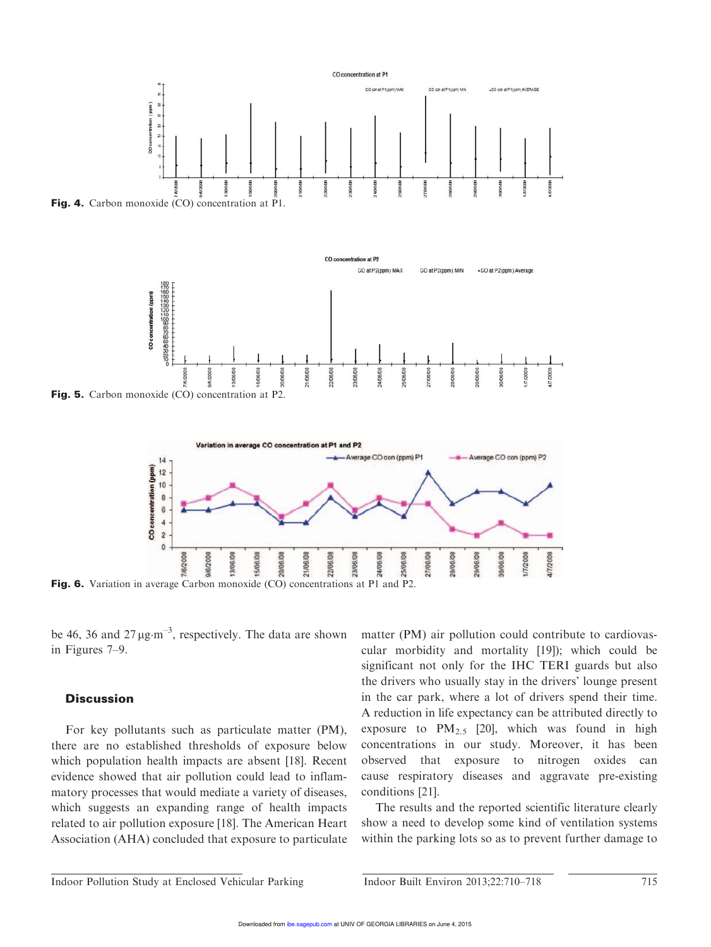



Fig. 5. Carbon monoxide (CO) concentration at P2.



Fig. 6. Variation in average Carbon monoxide (CO) concentrations at P1 and P2.

be 46, 36 and  $27 \mu g \cdot m^{-3}$ , respectively. The data are shown in Figures 7–9.

### **Discussion**

For key pollutants such as particulate matter (PM), there are no established thresholds of exposure below which population health impacts are absent [18]. Recent evidence showed that air pollution could lead to inflammatory processes that would mediate a variety of diseases, which suggests an expanding range of health impacts related to air pollution exposure [18]. The American Heart Association (AHA) concluded that exposure to particulate matter (PM) air pollution could contribute to cardiovascular morbidity and mortality [19]); which could be significant not only for the IHC TERI guards but also the drivers who usually stay in the drivers' lounge present in the car park, where a lot of drivers spend their time. A reduction in life expectancy can be attributed directly to exposure to  $PM_{2,5}$  [20], which was found in high concentrations in our study. Moreover, it has been observed that exposure to nitrogen oxides can cause respiratory diseases and aggravate pre-existing conditions [21].

The results and the reported scientific literature clearly show a need to develop some kind of ventilation systems within the parking lots so as to prevent further damage to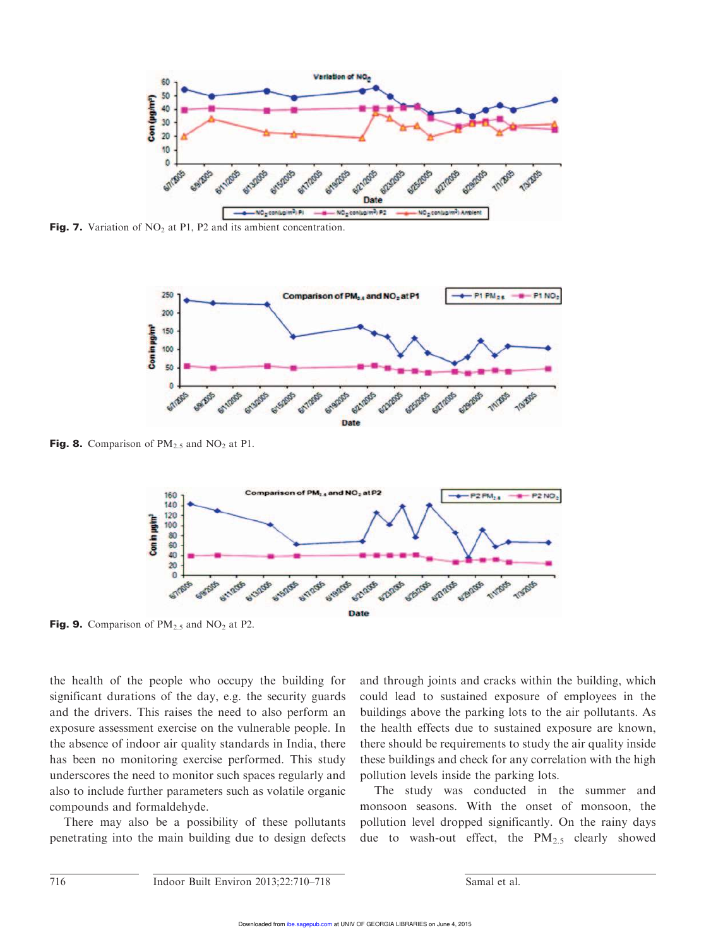

Fig. 7. Variation of  $NO<sub>2</sub>$  at P1, P2 and its ambient concentration.



Fig. 8. Comparison of  $PM_{2.5}$  and  $NO_2$  at P1.



Fig. 9. Comparison of  $PM_{2.5}$  and  $NO_2$  at P2.

the health of the people who occupy the building for significant durations of the day, e.g. the security guards and the drivers. This raises the need to also perform an exposure assessment exercise on the vulnerable people. In the absence of indoor air quality standards in India, there has been no monitoring exercise performed. This study underscores the need to monitor such spaces regularly and also to include further parameters such as volatile organic compounds and formaldehyde.

There may also be a possibility of these pollutants penetrating into the main building due to design defects and through joints and cracks within the building, which could lead to sustained exposure of employees in the buildings above the parking lots to the air pollutants. As the health effects due to sustained exposure are known, there should be requirements to study the air quality inside these buildings and check for any correlation with the high pollution levels inside the parking lots.

The study was conducted in the summer and monsoon seasons. With the onset of monsoon, the pollution level dropped significantly. On the rainy days due to wash-out effect, the  $PM_{2.5}$  clearly showed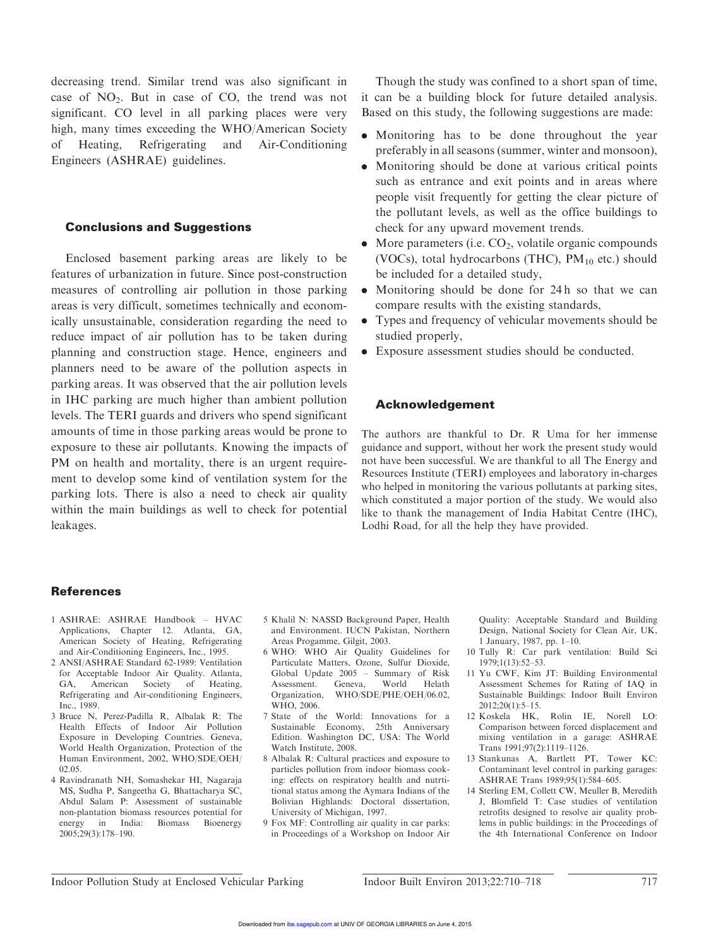decreasing trend. Similar trend was also significant in case of  $NO<sub>2</sub>$ . But in case of  $CO$ , the trend was not significant. CO level in all parking places were very high, many times exceeding the WHO/American Society of Heating, Refrigerating and Air-Conditioning Engineers (ASHRAE) guidelines.

### Conclusions and Suggestions

Enclosed basement parking areas are likely to be features of urbanization in future. Since post-construction measures of controlling air pollution in those parking areas is very difficult, sometimes technically and economically unsustainable, consideration regarding the need to reduce impact of air pollution has to be taken during planning and construction stage. Hence, engineers and planners need to be aware of the pollution aspects in parking areas. It was observed that the air pollution levels in IHC parking are much higher than ambient pollution levels. The TERI guards and drivers who spend significant amounts of time in those parking areas would be prone to exposure to these air pollutants. Knowing the impacts of PM on health and mortality, there is an urgent requirement to develop some kind of ventilation system for the parking lots. There is also a need to check air quality within the main buildings as well to check for potential leakages.

Though the study was confined to a short span of time, it can be a building block for future detailed analysis. Based on this study, the following suggestions are made:

- . Monitoring has to be done throughout the year preferably in all seasons (summer, winter and monsoon),
- . Monitoring should be done at various critical points such as entrance and exit points and in areas where people visit frequently for getting the clear picture of the pollutant levels, as well as the office buildings to check for any upward movement trends.
- $\bullet$  More parameters (i.e.  $CO<sub>2</sub>$ , volatile organic compounds (VOCs), total hydrocarbons (THC),  $PM_{10}$  etc.) should be included for a detailed study,
- . Monitoring should be done for 24 h so that we can compare results with the existing standards,
- . Types and frequency of vehicular movements should be studied properly,
- . Exposure assessment studies should be conducted.

#### Acknowledgement

The authors are thankful to Dr. R Uma for her immense guidance and support, without her work the present study would not have been successful. We are thankful to all The Energy and Resources Institute (TERI) employees and laboratory in-charges who helped in monitoring the various pollutants at parking sites, which constituted a major portion of the study. We would also like to thank the management of India Habitat Centre (IHC), Lodhi Road, for all the help they have provided.

#### References

- 1 ASHRAE: ASHRAE Handbook HVAC Applications, Chapter 12. Atlanta, GA, American Society of Heating, Refrigerating and Air-Conditioning Engineers, Inc., 1995.
- 2 ANSI/ASHRAE Standard 62-1989: Ventilation for Acceptable Indoor Air Quality. Atlanta,<br>GA, American Society of Heating, GA, American Society of Refrigerating and Air-conditioning Engineers, Inc., 1989.
- 3 Bruce N, Perez-Padilla R, Albalak R: The Health Effects of Indoor Air Pollution Exposure in Developing Countries. Geneva, World Health Organization, Protection of the Human Environment, 2002, WHO/SDE/OEH/ 02.05.
- 4 Ravindranath NH, Somashekar HI, Nagaraja MS, Sudha P, Sangeetha G, Bhattacharya SC, Abdul Salam P: Assessment of sustainable non-plantation biomass resources potential for energy in India: Biomass Bioenergy 2005;29(3):178–190.
- 5 Khalil N: NASSD Background Paper, Health and Environment. IUCN Pakistan, Northern Areas Progamme, Gilgit, 2003.
- 6 WHO: WHO Air Quality Guidelines for Particulate Matters, Ozone, Sulfur Dioxide, Global Update 2005 – Summary of Risk Assessment. Geneva, World Helath Organization, WHO/SDE/PHE/OEH/06.02, WHO, 2006.
- 7 State of the World: Innovations for a Sustainable Economy, 25th Anniversary Edition. Washington DC, USA: The World Watch Institute, 2008.
- 8 Albalak R: Cultural practices and exposure to particles pollution from indoor biomass cooking: effects on respiratory health and nutrtitional status among the Aymara Indians of the Bolivian Highlands: Doctoral dissertation, University of Michigan, 1997.
- 9 Fox MF: Controlling air quality in car parks: in Proceedings of a Workshop on Indoor Air

Quality: Acceptable Standard and Building Design, National Society for Clean Air, UK, 1 January, 1987, pp. 1–10.

- 10 Tully R: Car park ventilation: Build Sci 1979;1(13):52–53.
- 11 Yu CWF, Kim JT: Building Environmental Assessment Schemes for Rating of IAQ in Sustainable Buildings: Indoor Built Environ 2012;20(1):5–15.
- 12 Koskela HK, Rolin IE, Norell LO: Comparison between forced displacement and mixing ventilation in a garage: ASHRAE Trans 1991;97(2):1119–1126.
- 13 Stankunas A, Bartlett PT, Tower KC: Contaminant level control in parking garages: ASHRAE Trans 1989;95(1):584–605.
- 14 Sterling EM, Collett CW, Meuller B, Meredith J, Blomfield T: Case studies of ventilation retrofits designed to resolve air quality problems in public buildings: in the Proceedings of the 4th International Conference on Indoor

Indoor Pollution Study at Enclosed Vehicular Parking Indoor Built Environ 2013;22:710–718 717